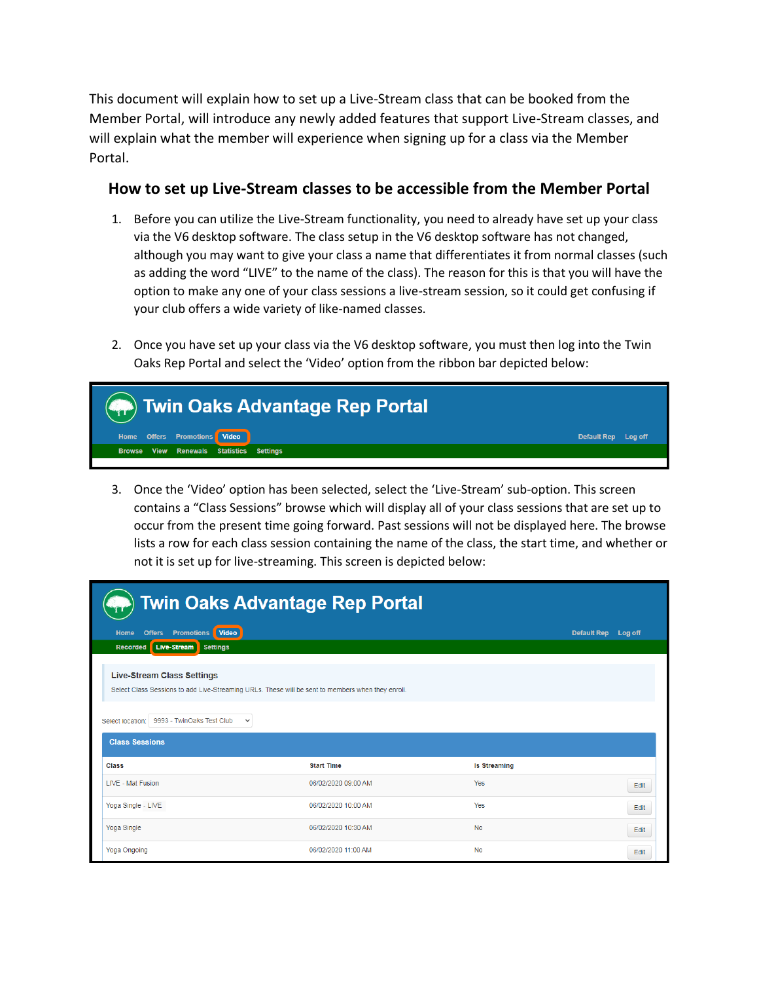This document will explain how to set up a Live-Stream class that can be booked from the Member Portal, will introduce any newly added features that support Live-Stream classes, and will explain what the member will experience when signing up for a class via the Member Portal.

## **How to set up Live-Stream classes to be accessible from the Member Portal**

- 1. Before you can utilize the Live-Stream functionality, you need to already have set up your class via the V6 desktop software. The class setup in the V6 desktop software has not changed, although you may want to give your class a name that differentiates it from normal classes (such as adding the word "LIVE" to the name of the class). The reason for this is that you will have the option to make any one of your class sessions a live-stream session, so it could get confusing if your club offers a wide variety of like-named classes.
- 2. Once you have set up your class via the V6 desktop software, you must then log into the Twin Oaks Rep Portal and select the 'Video' option from the ribbon bar depicted below:



3. Once the 'Video' option has been selected, select the 'Live-Stream' sub-option. This screen contains a "Class Sessions" browse which will display all of your class sessions that are set up to occur from the present time going forward. Past sessions will not be displayed here. The browse lists a row for each class session containing the name of the class, the start time, and whether or not it is set up for live-streaming. This screen is depicted below:

| <b>Twin Oaks Advantage Rep Portal</b>                                                                                                                                                                                            |                     |                     |                     |  |  |  |
|----------------------------------------------------------------------------------------------------------------------------------------------------------------------------------------------------------------------------------|---------------------|---------------------|---------------------|--|--|--|
| Home<br><b>Promotions</b><br>Video<br><b>Offers</b>                                                                                                                                                                              |                     |                     | Default Rep Log off |  |  |  |
| Live-Stream<br><b>Settings</b><br><b>Recorded</b>                                                                                                                                                                                |                     |                     |                     |  |  |  |
| <b>Live-Stream Class Settings</b><br>Select Class Sessions to add Live-Streaming URLs. These will be sent to members when they enroll.<br>9993 - TwinOaks Test Club<br>Select location:<br>$\checkmark$<br><b>Class Sessions</b> |                     |                     |                     |  |  |  |
| Class                                                                                                                                                                                                                            | <b>Start Time</b>   | <b>Is Streaming</b> |                     |  |  |  |
| <b>LIVE - Mat Fusion</b>                                                                                                                                                                                                         | 06/02/2020 09:00 AM | Yes                 | Edit                |  |  |  |
| Yoga Single - LIVE                                                                                                                                                                                                               | 06/02/2020 10:00 AM | Yes                 | Edit                |  |  |  |
| Yoga Single                                                                                                                                                                                                                      | 06/02/2020 10:30 AM | <b>No</b>           | Edit                |  |  |  |
| <b>Yoga Ongoing</b>                                                                                                                                                                                                              | 06/02/2020 11:00 AM | <b>No</b>           | Edit                |  |  |  |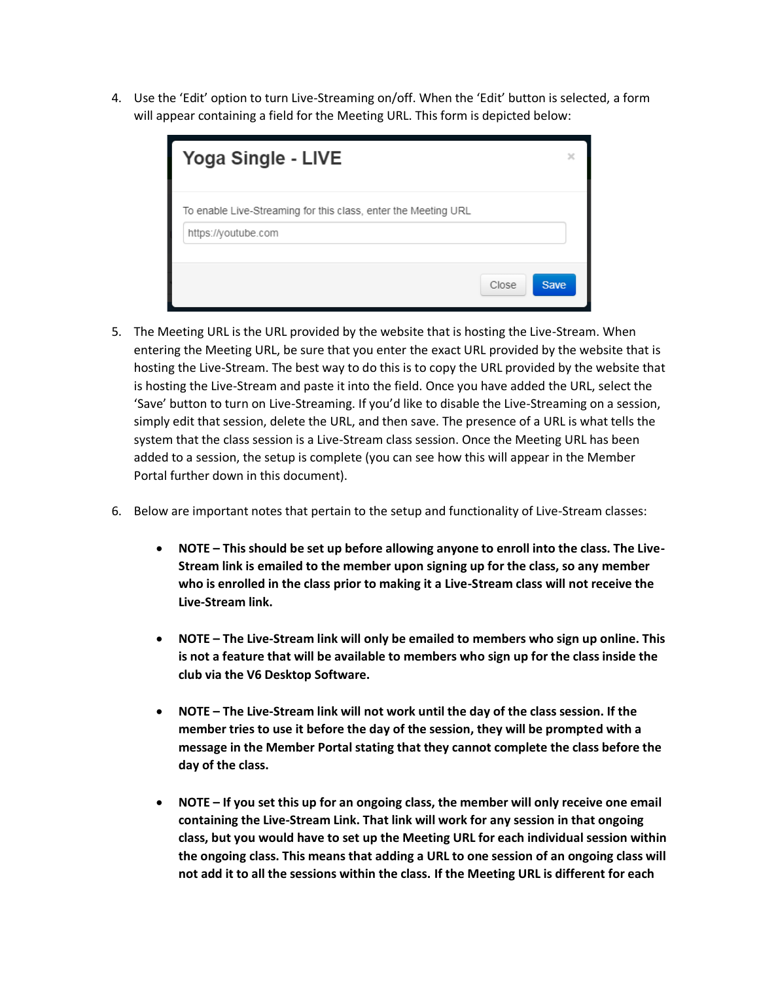4. Use the 'Edit' option to turn Live-Streaming on/off. When the 'Edit' button is selected, a form will appear containing a field for the Meeting URL. This form is depicted below:

| Yoga Single - LIVE                                                                    |  |
|---------------------------------------------------------------------------------------|--|
| To enable Live-Streaming for this class, enter the Meeting URL<br>https://youtube.com |  |
| <b>Save</b><br>Close                                                                  |  |

- 5. The Meeting URL is the URL provided by the website that is hosting the Live-Stream. When entering the Meeting URL, be sure that you enter the exact URL provided by the website that is hosting the Live-Stream. The best way to do this is to copy the URL provided by the website that is hosting the Live-Stream and paste it into the field. Once you have added the URL, select the 'Save' button to turn on Live-Streaming. If you'd like to disable the Live-Streaming on a session, simply edit that session, delete the URL, and then save. The presence of a URL is what tells the system that the class session is a Live-Stream class session. Once the Meeting URL has been added to a session, the setup is complete (you can see how this will appear in the Member Portal further down in this document).
- 6. Below are important notes that pertain to the setup and functionality of Live-Stream classes:
	- **NOTE – This should be set up before allowing anyone to enroll into the class. The Live-Stream link is emailed to the member upon signing up for the class, so any member who is enrolled in the class prior to making it a Live-Stream class will not receive the Live-Stream link.**
	- **NOTE – The Live-Stream link will only be emailed to members who sign up online. This is not a feature that will be available to members who sign up for the class inside the club via the V6 Desktop Software.**
	- **NOTE – The Live-Stream link will not work until the day of the class session. If the member tries to use it before the day of the session, they will be prompted with a message in the Member Portal stating that they cannot complete the class before the day of the class.**
	- **NOTE – If you set this up for an ongoing class, the member will only receive one email containing the Live-Stream Link. That link will work for any session in that ongoing class, but you would have to set up the Meeting URL for each individual session within the ongoing class. This means that adding a URL to one session of an ongoing class will not add it to all the sessions within the class. If the Meeting URL is different for each**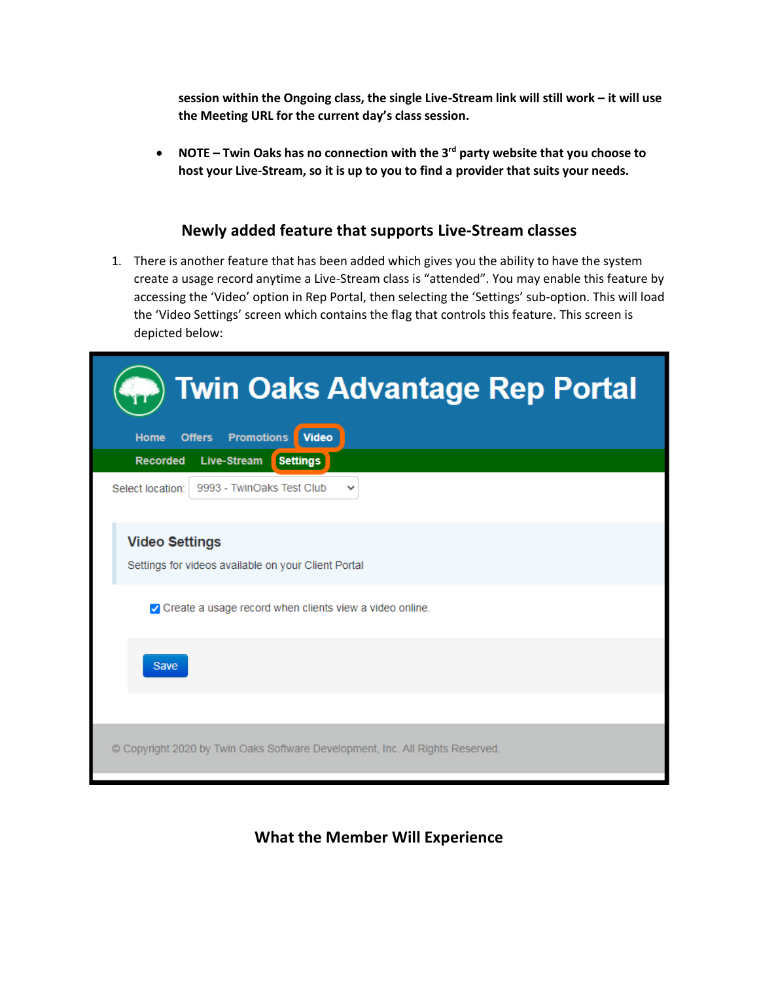**session within the Ongoing class, the single Live-Stream link will still work – it will use the Meeting URL for the current day's class session.**

• **NOTE – Twin Oaks has no connection with the 3rd party website that you choose to host your Live-Stream, so it is up to you to find a provider that suits your needs.**

## **Newly added feature that supports Live-Stream classes**

1. There is another feature that has been added which gives you the ability to have the system create a usage record anytime a Live-Stream class is "attended". You may enable this feature by accessing the 'Video' option in Rep Portal, then selecting the 'Settings' sub-option. This will load the 'Video Settings' screen which contains the flag that controls this feature. This screen is depicted below:

| <b>Twin Oaks Advantage Rep Portal</b>                                         |  |  |  |
|-------------------------------------------------------------------------------|--|--|--|
| <b>Promotions</b><br><b>Offers</b><br><b>Video</b><br><b>Home</b>             |  |  |  |
| <b>Recorded</b><br><b>Live-Stream</b><br><b>Settings</b>                      |  |  |  |
| 9993 - TwinOaks Test Club<br>Select location:<br>✓                            |  |  |  |
| <b>Video Settings</b><br>Settings for videos available on your Client Portal  |  |  |  |
| O Create a usage record when clients view a video online.                     |  |  |  |
| <b>Save</b>                                                                   |  |  |  |
|                                                                               |  |  |  |
| © Copyright 2020 by Twin Oaks Software Development, Inc. All Rights Reserved. |  |  |  |

## **What the Member Will Experience**